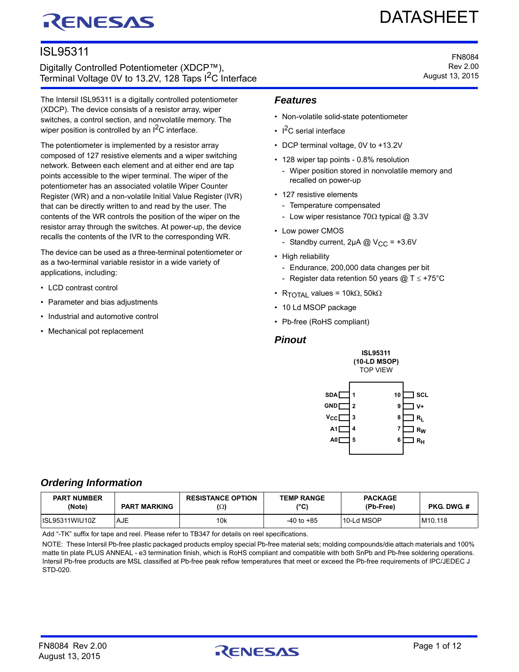# RENESAS

# DATASHEET

FN8084 Rev 2.00 August 13, 2015

# ISL95311

Digitally Controlled Potentiometer (XDCP™), Terminal Voltage 0V to 13.2V, 128 Taps I<sup>2</sup>C Interface

The Intersil ISL95311 is a digitally controlled potentiometer (XDCP). The device consists of a resistor array, wiper switches, a control section, and nonvolatile memory. The wiper position is controlled by an  $1<sup>2</sup>C$  interface.

The potentiometer is implemented by a resistor array composed of 127 resistive elements and a wiper switching network. Between each element and at either end are tap points accessible to the wiper terminal. The wiper of the potentiometer has an associated volatile Wiper Counter Register (WR) and a non-volatile Initial Value Register (IVR) that can be directly written to and read by the user. The contents of the WR controls the position of the wiper on the resistor array through the switches. At power-up, the device recalls the contents of the IVR to the corresponding WR.

The device can be used as a three-terminal potentiometer or as a two-terminal variable resistor in a wide variety of applications, including:

- LCD contrast control
- Parameter and bias adjustments
- Industrial and automotive control
- Mechanical pot replacement

#### *Features*

- Non-volatile solid-state potentiometer
- $1^2C$  serial interface
- DCP terminal voltage, 0V to +13.2V
- 128 wiper tap points 0.8% resolution
	- Wiper position stored in nonvolatile memory and recalled on power-up
- 127 resistive elements
	- Temperature compensated
	- Low wiper resistance  $70\Omega$  typical @ 3.3V
- Low power CMOS
	- Standby current,  $2\mu A \text{ } \textcircled{a}$  V<sub>CC</sub> = +3.6V
- High reliability
	- Endurance, 200,000 data changes per bit
	- Register data retention 50 years @ T  $\le$  +75°C
- R<sub>TOTAL</sub> values =  $10k\Omega$ , 50k $\Omega$
- 10 Ld MSOP package
- Pb-free (RoHS compliant)

#### *Pinout*





# <span id="page-0-0"></span>*Ordering Information*

| <b>PART NUMBER</b><br>(Note) | <b>PART MARKING</b> | <b>RESISTANCE OPTION</b><br>$(\Omega)$ | <b>TEMP RANGE</b><br>(°C) | <b>PACKAGE</b><br>(Pb-Free) | <b>PKG DWG #</b>    |
|------------------------------|---------------------|----------------------------------------|---------------------------|-----------------------------|---------------------|
| IISL95311WIU10Z              | AJE                 | 10 <sub>k</sub>                        | $-40$ to $+85$            | 10-Ld MSOP                  | M <sub>10.118</sub> |

[Add "-TK" suffix for tape and reel. Please refer to TB347 for details on reel specifications.](http://www.intersil.com/data/tb/tb347.pdf)

NOTE: These Intersil Pb-free plastic packaged products employ special Pb-free material sets; molding compounds/die attach materials and 100% matte tin plate PLUS ANNEAL - e3 termination finish, which is RoHS compliant and compatible with both SnPb and Pb-free soldering operations. Intersil Pb-free products are MSL classified at Pb-free peak reflow temperatures that meet or exceed the Pb-free requirements of IPC/JEDEC J STD-020.

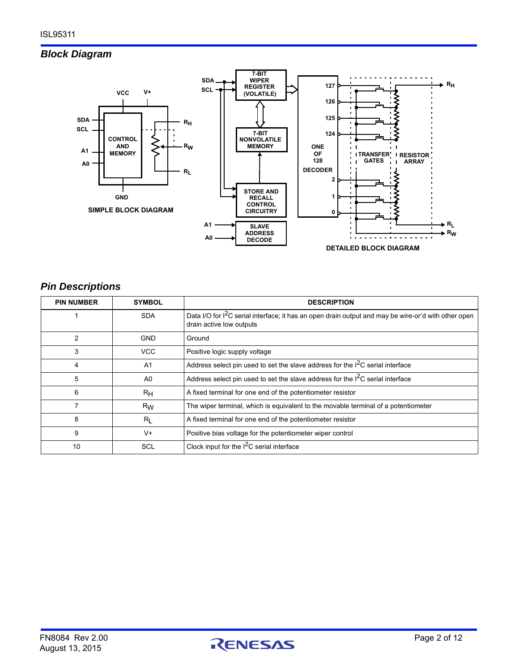# *Block Diagram*



# *Pin Descriptions*

| <b>PIN NUMBER</b> | <b>SYMBOL</b>  | <b>DESCRIPTION</b>                                                                                                                           |
|-------------------|----------------|----------------------------------------------------------------------------------------------------------------------------------------------|
|                   | <b>SDA</b>     | Data I/O for I <sup>2</sup> C serial interface; it has an open drain output and may be wire-or'd with other open<br>drain active low outputs |
| 2                 | <b>GND</b>     | Ground                                                                                                                                       |
| 3                 | VCC            | Positive logic supply voltage                                                                                                                |
| 4                 | A <sub>1</sub> | Address select pin used to set the slave address for the $12C$ serial interface                                                              |
| 5                 | A0             | Address select pin used to set the slave address for the $12C$ serial interface                                                              |
| 6                 | $R_{H}$        | A fixed terminal for one end of the potentiometer resistor                                                                                   |
|                   | Rw             | The wiper terminal, which is equivalent to the movable terminal of a potentiometer                                                           |
| 8                 | $R_L$          | A fixed terminal for one end of the potentiometer resistor                                                                                   |
| 9                 | $V +$          | Positive bias voltage for the potentiometer wiper control                                                                                    |
| 10                | SCL            | Clock input for the I <sup>2</sup> C serial interface                                                                                        |

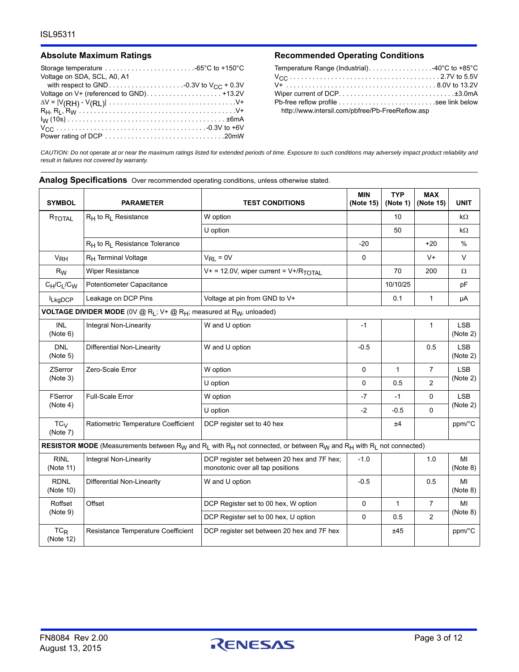| Storage temperature $\dots\dots\dots\dots\dots\dots\dots\dots\dots\dots$ |
|--------------------------------------------------------------------------|
| Voltage on SDA, SCL, A0, A1                                              |
|                                                                          |
|                                                                          |
|                                                                          |
|                                                                          |
|                                                                          |
|                                                                          |
|                                                                          |

#### Absolute Maximum Ratings **Recommended Operating Conditions**

| Temperature Range (Industrial). $\ldots \ldots \ldots \ldots \ldots \ldots -40^{\circ}C$ to +85°C |  |
|---------------------------------------------------------------------------------------------------|--|
|                                                                                                   |  |
|                                                                                                   |  |
|                                                                                                   |  |
| Pb-free reflow profile see link below                                                             |  |
| http://www.intersil.com/pbfree/Pb-FreeReflow.asp                                                  |  |

*CAUTION: Do not operate at or near the maximum ratings listed for extended periods of time. Exposure to such conditions may adversely impact product reliability and result in failures not covered by warranty.*

**Analog Specifications** Over recommended operating conditions, unless otherwise stated.

| <b>SYMBOL</b>               | <b>PARAMETER</b>                                                                                                | <b>TEST CONDITIONS</b>                                                                                                                                                                   | <b>MIN</b><br>(Note 15) | <b>TYP</b><br>(Note 1) | <b>MAX</b><br>(Note 15) | <b>UNIT</b>            |
|-----------------------------|-----------------------------------------------------------------------------------------------------------------|------------------------------------------------------------------------------------------------------------------------------------------------------------------------------------------|-------------------------|------------------------|-------------------------|------------------------|
| RTOTAL                      | $R_H$ to $R_I$ Resistance                                                                                       | W option                                                                                                                                                                                 |                         | 10                     |                         | $k\Omega$              |
|                             |                                                                                                                 | U option                                                                                                                                                                                 |                         | 50                     |                         | $k\Omega$              |
|                             | R <sub>H</sub> to R <sub>I</sub> Resistance Tolerance                                                           |                                                                                                                                                                                          | $-20$                   |                        | $+20$                   | $\frac{0}{0}$          |
| <b>V<sub>RH</sub></b>       | R <sub>H</sub> Terminal Voltage                                                                                 | $V_{RL} = 0V$                                                                                                                                                                            | $\mathbf 0$             |                        | $V +$                   | $\vee$                 |
| $R_W$                       | <b>Wiper Resistance</b>                                                                                         | $V+ = 12.0V$ , wiper current = $V+$ /R <sub>TOTAL</sub>                                                                                                                                  |                         | 70                     | 200                     | Ω                      |
| $C_H/C_L/C_W$               | Potentiometer Capacitance                                                                                       |                                                                                                                                                                                          |                         | 10/10/25               |                         | pF                     |
| <b>LkgDCP</b>               | Leakage on DCP Pins                                                                                             | Voltage at pin from GND to V+                                                                                                                                                            |                         | 0.1                    | $\mathbf{1}$            | μA                     |
|                             | <b>VOLTAGE DIVIDER MODE</b> (0V @ R <sub>L</sub> ; V+ @ R <sub>H</sub> ; measured at R <sub>W</sub> , unloaded) |                                                                                                                                                                                          |                         |                        |                         |                        |
| <b>INL</b><br>(Note 6)      | Integral Non-Linearity                                                                                          | W and U option                                                                                                                                                                           | $-1$                    |                        | $\mathbf{1}$            | <b>LSB</b><br>(Note 2) |
| <b>DNL</b><br>(Note 5)      | Differential Non-Linearity                                                                                      | W and U option                                                                                                                                                                           | $-0.5$                  |                        | 0.5                     | <b>LSB</b><br>(Note 2) |
| <b>ZSerror</b>              | Zero-Scale Error                                                                                                | W option                                                                                                                                                                                 | $\mathbf 0$             | $\mathbf{1}$           | $\overline{7}$          | <b>LSB</b>             |
| (Note 3)                    |                                                                                                                 | U option                                                                                                                                                                                 | 0                       | 0.5                    | 2                       | (Note 2)               |
| <b>FSerror</b>              | <b>Full-Scale Error</b>                                                                                         | W option                                                                                                                                                                                 | $-7$                    | $-1$                   | 0                       | <b>LSB</b>             |
| (Note 4)                    |                                                                                                                 | U option                                                                                                                                                                                 | $-2$                    | $-0.5$                 | 0                       | (Note 2)               |
| TC <sub>V</sub><br>(Note 7) | Ratiometric Temperature Coefficient                                                                             | DCP register set to 40 hex                                                                                                                                                               |                         | ±4                     |                         | ppm/°C                 |
|                             |                                                                                                                 | RESISTOR MODE (Measurements between R <sub>W</sub> and R <sub>L</sub> with R <sub>H</sub> not connected, or between R <sub>W</sub> and R <sub>H</sub> with R <sub>L</sub> not connected) |                         |                        |                         |                        |
| <b>RINL</b><br>(Note 11)    | Integral Non-Linearity                                                                                          | DCP register set between 20 hex and 7F hex;<br>monotonic over all tap positions                                                                                                          | $-1.0$                  |                        | 1.0                     | MI<br>(Note 8)         |
| <b>RDNL</b><br>(Note 10)    | Differential Non-Linearity                                                                                      | W and U option                                                                                                                                                                           | $-0.5$                  |                        | 0.5                     | МI<br>(Note 8)         |
| Roffset                     | Offset                                                                                                          | DCP Register set to 00 hex, W option                                                                                                                                                     | 0                       | $\mathbf{1}$           | $\overline{7}$          | MI                     |
| (Note 9)                    |                                                                                                                 | DCP Register set to 00 hex, U option                                                                                                                                                     | $\Omega$                | 0.5                    | 2                       | (Note 8)               |
| $TC_R$<br>(Note 12)         | Resistance Temperature Coefficient                                                                              | DCP register set between 20 hex and 7F hex                                                                                                                                               |                         | ±45                    |                         | ppm/°C                 |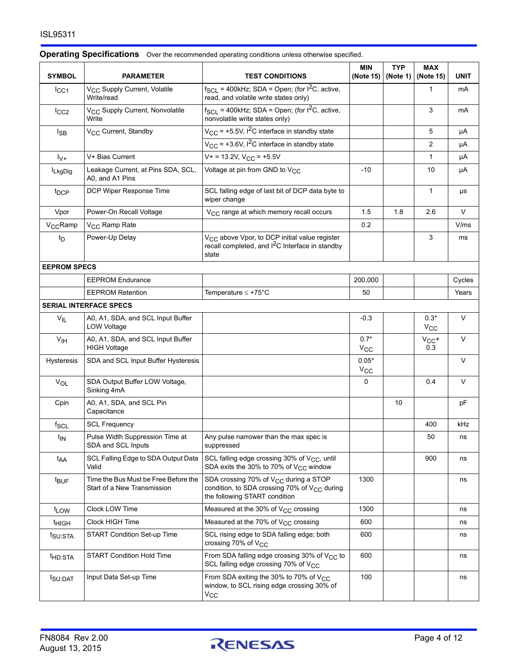| <b>SYMBOL</b>        | <b>PARAMETER</b>                                                    | <b>TEST CONDITIONS</b>                                                                                                                  | <b>MIN</b><br>(Note 15) | <b>TYP</b><br>(Note 1) | <b>MAX</b><br>(Note 15) | <b>UNIT</b> |
|----------------------|---------------------------------------------------------------------|-----------------------------------------------------------------------------------------------------------------------------------------|-------------------------|------------------------|-------------------------|-------------|
| $I_{CC1}$            | V <sub>CC</sub> Supply Current, Volatile<br>Write/read              | $f_{SCL}$ = 400kHz; SDA = Open; (for $I^2C$ , active,<br>read, and volatile write states only)                                          |                         |                        | 1                       | mA          |
| $I_{CC2}$            | V <sub>CC</sub> Supply Current, Nonvolatile<br>Write                | $f_{SCL}$ = 400kHz; SDA = Open; (for $1^2C$ , active,<br>nonvolatile write states only)                                                 |                         |                        | 3                       | mA          |
| $I_{SB}$             | V <sub>CC</sub> Current, Standby                                    | $V_{CC}$ = +5.5V, $I^2C$ interface in standby state                                                                                     |                         |                        | 5                       | μA          |
|                      |                                                                     | $V_{\text{CC}}$ = +3.6V, $1^2$ C interface in standby state                                                                             |                         |                        | $\overline{2}$          | μA          |
| $1v+$                | V+ Bias Current                                                     | $V+ = 13.2V, VCC = +5.5V$                                                                                                               |                         |                        | 1                       | μA          |
| <b>ILkgDig</b>       | Leakage Current, at Pins SDA, SCL,<br>A0, and A1 Pins               | Voltage at pin from GND to V <sub>CC</sub>                                                                                              | -10                     |                        | 10                      | μA          |
| t <sub>DCP</sub>     | DCP Wiper Response Time                                             | SCL falling edge of last bit of DCP data byte to<br>wiper change                                                                        |                         |                        | 1                       | μs          |
| Vpor                 | Power-On Recall Voltage                                             | V <sub>CC</sub> range at which memory recall occurs                                                                                     | 1.5                     | 1.8                    | 2.6                     | V           |
| V <sub>CC</sub> Ramp | V <sub>CC</sub> Ramp Rate                                           |                                                                                                                                         | 0.2                     |                        |                         | V/ms        |
| t <sub>D</sub>       | Power-Up Delay                                                      | V <sub>CC</sub> above Vpor, to DCP initial value register<br>recall completed, and I <sup>2</sup> C Interface in standby<br>state       |                         |                        | 3                       | ms          |
| <b>EEPROM SPECS</b>  |                                                                     |                                                                                                                                         |                         |                        |                         |             |
|                      | <b>EEPROM Endurance</b>                                             |                                                                                                                                         | 200,000                 |                        |                         | Cycles      |
|                      | <b>EEPROM Retention</b>                                             | Temperature $\leq$ +75°C                                                                                                                | 50                      |                        |                         | Years       |
|                      | <b>SERIAL INTERFACE SPECS</b>                                       |                                                                                                                                         |                         |                        |                         |             |
| $V_{IL}$             | A0, A1, SDA, and SCL Input Buffer<br>LOW Voltage                    |                                                                                                                                         | $-0.3$                  |                        | $0.3*$<br>$V_{CC}$      | V           |
| V <sub>IH</sub>      | A0, A1, SDA, and SCL Input Buffer<br><b>HIGH Voltage</b>            |                                                                                                                                         | $0.7*$<br>$V_{\rm CC}$  |                        | $V_{CC}$ +<br>0.3       | V           |
| <b>Hysteresis</b>    | SDA and SCL Input Buffer Hysteresis                                 |                                                                                                                                         | $0.05*$<br>$V_{\rm CC}$ |                        |                         | $\vee$      |
| VOL                  | SDA Output Buffer LOW Voltage,<br>Sinking 4mA                       |                                                                                                                                         | 0                       |                        | 0.4                     | V           |
| Cpin                 | A0, A1, SDA, and SCL Pin<br>Capacitance                             |                                                                                                                                         |                         | 10                     |                         | рF          |
| $f_{SCL}$            | <b>SCL Frequency</b>                                                |                                                                                                                                         |                         |                        | 400                     | kHz         |
| t <sub>IN</sub>      | Pulse Width Suppression Time at<br>SDA and SCL Inputs               | Any pulse narrower than the max spec is<br>suppressed                                                                                   |                         |                        | 50                      | ns          |
| t <sub>AA</sub>      | SCL Falling Edge to SDA Output Data<br>Valid                        | SCL falling edge crossing 30% of V <sub>CC</sub> , until<br>SDA exits the 30% to 70% of $V_{CC}$ window                                 |                         |                        | 900                     | ns          |
| t <sub>BUF</sub>     | Time the Bus Must be Free Before the<br>Start of a New Transmission | SDA crossing 70% of V <sub>CC</sub> during a STOP<br>condition, to SDA crossing 70% of $V_{CC}$ during<br>the following START condition | 1300                    |                        |                         | ns          |
| t <sub>LOW</sub>     | Clock LOW Time                                                      | Measured at the 30% of $V_{\text{CC}}$ crossing                                                                                         | 1300                    |                        |                         | ns          |
| t <sub>HIGH</sub>    | Clock HIGH Time                                                     | Measured at the 70% of $V_{CC}$ crossing                                                                                                | 600                     |                        |                         | ns          |
| t <sub>SU:STA</sub>  | START Condition Set-up Time                                         | SCL rising edge to SDA falling edge; both<br>crossing 70% of $V_{CC}$                                                                   | 600                     |                        |                         | ns          |
| <sup>t</sup> HD:STA  | <b>START Condition Hold Time</b>                                    | From SDA falling edge crossing 30% of V <sub>CC</sub> to<br>SCL falling edge crossing 70% of V <sub>CC</sub>                            | 600                     |                        |                         | ns          |
| t <sub>SU:DAT</sub>  | Input Data Set-up Time                                              | From SDA exiting the 30% to 70% of V <sub>CC</sub><br>window, to SCL rising edge crossing 30% of<br>$V_{\rm CC}$                        | 100                     |                        |                         | ns          |

#### **Operating Specifications** Over the recommended operating conditions unless otherwise specified

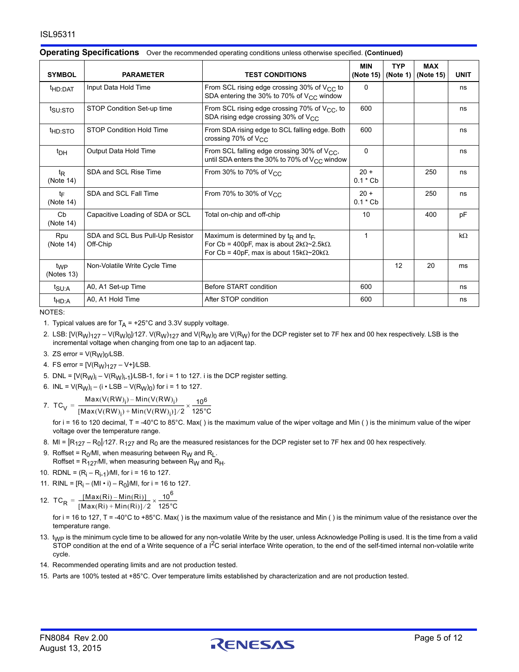| <b>SYMBOL</b>                 | <b>PARAMETER</b>                             | <b>TEST CONDITIONS</b>                                                                                                                                              | <b>MIN</b><br>(Note 15) | <b>TYP</b><br>(Note 1) $ $ | <b>MAX</b><br>(Note 15) | <b>UNIT</b> |
|-------------------------------|----------------------------------------------|---------------------------------------------------------------------------------------------------------------------------------------------------------------------|-------------------------|----------------------------|-------------------------|-------------|
| <sup>t</sup> HD:DAT           | Input Data Hold Time                         | From SCL rising edge crossing 30% of $V_{CC}$ to<br>SDA entering the 30% to 70% of $V_{CC}$ window                                                                  | 0                       |                            |                         | ns          |
| t <sub>su:STO</sub>           | STOP Condition Set-up time                   | From SCL rising edge crossing 70% of V <sub>CC</sub> , to<br>SDA rising edge crossing 30% of V <sub>CC</sub>                                                        | 600                     |                            |                         | ns          |
| <sup>t</sup> HD:STO           | <b>STOP Condition Hold Time</b>              | From SDA rising edge to SCL falling edge. Both<br>crossing 70% of $V_{\text{CC}}$                                                                                   | 600                     |                            |                         | ns          |
| $t_{DH}$                      | Output Data Hold Time                        | From SCL falling edge crossing 30% of V <sub>CC</sub> ,<br>until SDA enters the 30% to 70% of $V_{CC}$ window                                                       | $\Omega$                |                            |                         | ns          |
| $t_{\mathsf{R}}$<br>(Note 14) | SDA and SCL Rise Time                        | From 30% to 70% of $V_{CC}$                                                                                                                                         | $20 +$<br>$0.1 * Cb$    |                            | 250                     | ns          |
| t⊨<br>(Note 14)               | SDA and SCL Fall Time                        | From 70% to 30% of $V_{CC}$                                                                                                                                         | $20 +$<br>$0.1 * Cb$    |                            | 250                     | ns          |
| Cb<br>(Note 14)               | Capacitive Loading of SDA or SCL             | Total on-chip and off-chip                                                                                                                                          | 10                      |                            | 400                     | pF          |
| Rpu<br>(Note 14)              | SDA and SCL Bus Pull-Up Resistor<br>Off-Chip | Maximum is determined by $t_R$ and $t_F$ ,<br>For Cb = 400pF, max is about $2k\Omega \sim 2.5k\Omega$ .<br>For Cb = 40pF, max is about $15k\Omega \sim 20k\Omega$ . | 1                       |                            |                         | $k\Omega$   |
| t <sub>WP</sub><br>(Notes 13) | Non-Volatile Write Cycle Time                |                                                                                                                                                                     |                         | 12                         | 20                      | ms          |
| t <sub>SU:A</sub>             | A0, A1 Set-up Time                           | Before START condition                                                                                                                                              | 600                     |                            |                         | ns          |
| <sup>t</sup> HD:A             | A0, A1 Hold Time                             | After STOP condition                                                                                                                                                | 600                     |                            |                         | ns          |

#### **Operating Specifications** Over the recommended operating conditions unless otherwise specified. **(Continued)**

NOTES:

<span id="page-4-1"></span>1. Typical values are for  $T_A$  = +25°C and 3.3V supply voltage.

<span id="page-4-3"></span>2. LSB:  $[V(R_W)<sub>127</sub> - V(R_W)<sub>0</sub>]$ /127. V(R<sub>W</sub>)<sub>127</sub> and V(R<sub>W</sub>)<sub>0</sub> are V(R<sub>W</sub>) for the DCP register set to 7F hex and 00 hex respectively. LSB is the incremental voltage when changing from one tap to an adjacent tap.

<span id="page-4-5"></span>3. ZS error =  $V(R_W)_0$ /LSB.

<span id="page-4-6"></span>4. FS error = 
$$
[V(R_W)127 - V+]/LSB
$$
.

- <span id="page-4-4"></span>5. DNL =  $[V(R_W)_i - V(R_W)_{i-1}]$ /LSB-1, for i = 1 to 127. i is the DCP register setting.
- <span id="page-4-2"></span>6. INL =  $V(R_W)_i - (i \cdot LSB - V(R_W)_0)$  for  $i = 1$  to 127.
- 

<span id="page-4-7"></span>7.  $TC_V = \frac{Max(V(RW)_i) - Min(V(RW)_i)}{[Max(V(RW)_i) + Min(V(RW)_i)]/2} \times \frac{10^6}{125^{\circ}C}$ 

for i = 16 to 120 decimal, T = -40°C to 85°C. Max( ) is the maximum value of the wiper voltage and Min ( ) is the minimum value of the wiper voltage over the temperature range.

- <span id="page-4-9"></span>8. MI =  $|R_{127} - R_0|/127$ . R<sub>127</sub> and R<sub>0</sub> are the measured resistances for the DCP register set to 7F hex and 00 hex respectively.
- <span id="page-4-11"></span>9. Roffset =  $R_0$ /MI, when measuring between  $R_W$  and  $R_L$ . Roffset =  $R_{127}$ /MI, when measuring between  $R_W$  and  $R_H$ .
- <span id="page-4-10"></span>10. RDNL =  $(R_i - R_{i-1})$ /MI, for i = 16 to 127.
- <span id="page-4-8"></span>11. RINL =  $[R_i - (MI \cdot i) - R_0]$ /MI, for i = 16 to 127.

<span id="page-4-12"></span>12. 
$$
TC_R = \frac{[Max(Ri) - Min(Ri)]}{[Max(Ri) + Min(Ri)]/2} \times \frac{10^6}{125^{\circ}C}
$$

for i = 16 to 127, T = -40°C to +85°C. Max() is the maximum value of the resistance and Min () is the minimum value of the resistance over the temperature range.

- <span id="page-4-14"></span>13. t<sub>WP</sub> is the minimum cycle time to be allowed for any non-volatile Write by the user, unless Acknowledge Polling is used. It is the time from a valid STOP condition at the end of a Write sequence of a I<sup>2</sup>C serial interface Write operation, to the end of the self-timed internal non-volatile write cycle.
- <span id="page-4-13"></span>14. Recommended operating limits and are not production tested.
- <span id="page-4-0"></span>15. Parts are 100% tested at +85°C. Over temperature limits established by characterization and are not production tested.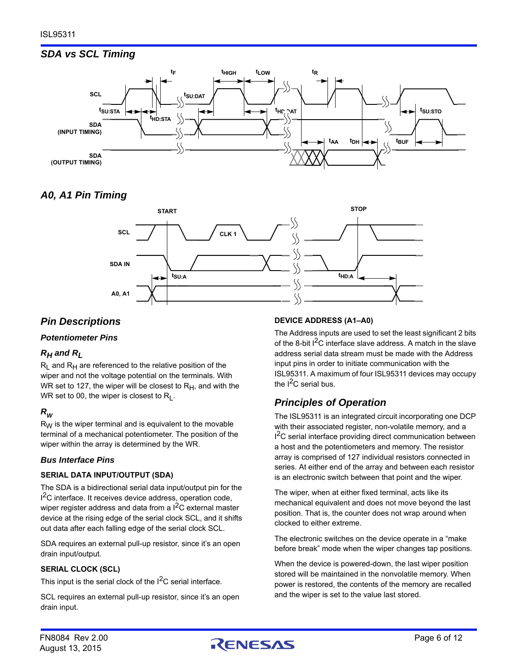# *SDA vs SCL Timing*



# *A0, A1 Pin Timing*



# *Pin Descriptions*

#### *Potentiometer Pins*

### *RH and RL*

 $R_1$  and  $R_2$  are referenced to the relative position of the wiper and not the voltage potential on the terminals. With WR set to 127, the wiper will be closest to  $R_H$ , and with the WR set to 00, the wiper is closest to  $R_1$ .

# *RW*

 $R_W$  is the wiper terminal and is equivalent to the movable terminal of a mechanical potentiometer. The position of the wiper within the array is determined by the WR.

#### *Bus Interface Pins*

#### **SERIAL DATA INPUT/OUTPUT (SDA)**

The SDA is a bidirectional serial data input/output pin for the <sup>2</sup>C interface. It receives device address, operation code, wiper register address and data from a  $I^2C$  external master device at the rising edge of the serial clock SCL, and it shifts out data after each falling edge of the serial clock SCL.

SDA requires an external pull-up resistor, since it's an open drain input/output.

#### **SERIAL CLOCK (SCL)**

This input is the serial clock of the  $I^2C$  serial interface.

SCL requires an external pull-up resistor, since it's an open drain input.

#### **DEVICE ADDRESS (A1–A0)**

The Address inputs are used to set the least significant 2 bits of the 8-bit  $I^2C$  interface slave address. A match in the slave address serial data stream must be made with the Address input pins in order to initiate communication with the ISL95311. A maximum of four ISL95311 devices may occupy the  $I^2C$  serial bus.

# *Principles of Operation*

The ISL95311 is an integrated circuit incorporating one DCP with their associated register, non-volatile memory, and a <sup>2</sup>C serial interface providing direct communication between a host and the potentiometers and memory. The resistor array is comprised of 127 individual resistors connected in series. At either end of the array and between each resistor is an electronic switch between that point and the wiper.

The wiper, when at either fixed terminal, acts like its mechanical equivalent and does not move beyond the last position. That is, the counter does not wrap around when clocked to either extreme.

The electronic switches on the device operate in a "make before break" mode when the wiper changes tap positions.

When the device is powered-down, the last wiper position stored will be maintained in the nonvolatile memory. When power is restored, the contents of the memory are recalled and the wiper is set to the value last stored.

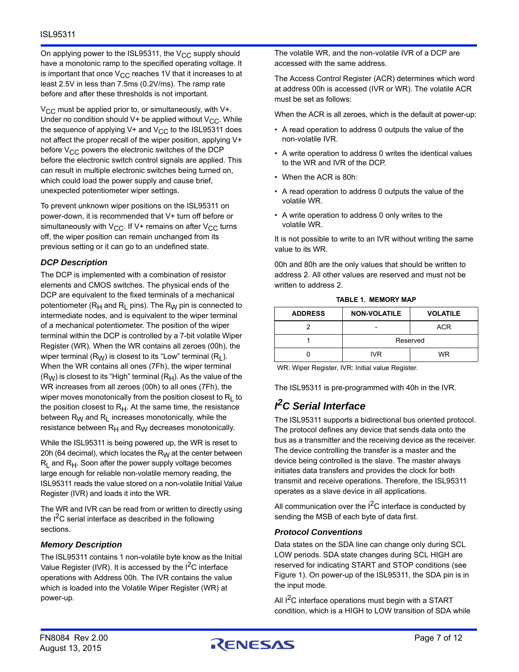On applying power to the ISL95311, the  $V_{CC}$  supply should have a monotonic ramp to the specified operating voltage. It is important that once  $V_{CC}$  reaches 1V that it increases to at least 2.5V in less than 7.5ms (0.2V/ms). The ramp rate before and after these thresholds is not important.

 $V_{\rm CC}$  must be applied prior to, or simultaneously, with V+. Under no condition should V+ be applied without  $V_{CC}$ . While the sequence of applying V+ and  $V_{CC}$  to the ISL95311 does not affect the proper recall of the wiper position, applying V+ before  $V_{CC}$  powers the electronic switches of the DCP before the electronic switch control signals are applied. This can result in multiple electronic switches being turned on, which could load the power supply and cause brief, unexpected potentiometer wiper settings.

To prevent unknown wiper positions on the ISL95311 on power-down, it is recommended that V+ turn off before or simultaneously with  $V_{CC}$ . If V+ remains on after  $V_{CC}$  turns off, the wiper position can remain unchanged from its previous setting or it can go to an undefined state.

#### *DCP Description*

The DCP is implemented with a combination of resistor elements and CMOS switches. The physical ends of the DCP are equivalent to the fixed terminals of a mechanical potentiometer ( $R_H$  and  $R_I$  pins). The  $R_W$  pin is connected to intermediate nodes, and is equivalent to the wiper terminal of a mechanical potentiometer. The position of the wiper terminal within the DCP is controlled by a 7-bit volatile Wiper Register (WR). When the WR contains all zeroes (00h), the wiper terminal  $(R_W)$  is closest to its "Low" terminal  $(R<sub>1</sub>)$ . When the WR contains all ones (7Fh), the wiper terminal  $(R_W)$  is closest to its "High" terminal  $(R_H)$ . As the value of the WR increases from all zeroes (00h) to all ones (7Fh), the wiper moves monotonically from the position closest to  $R_1$  to the position closest to  $R<sub>H</sub>$ . At the same time, the resistance between  $R_W$  and  $R_L$  increases monotonically, while the resistance between  $R_H$  and  $R_W$  decreases monotonically.

While the ISL95311 is being powered up, the WR is reset to 20h (64 decimal), which locates the  $R_W$  at the center between  $R_1$  and  $R_2$ . Soon after the power supply voltage becomes large enough for reliable non-volatile memory reading, the ISL95311 reads the value stored on a non-volatile Initial Value Register (IVR) and loads it into the WR.

The WR and IVR can be read from or written to directly using the  $I<sup>2</sup>C$  serial interface as described in the following sections.

#### <span id="page-6-0"></span>*Memory Description*

The ISL95311 contains 1 non-volatile byte know as the Initial Value Register (IVR). It is accessed by the  $I^2C$  interface operations with Address 00h. The IVR contains the value which is loaded into the Volatile Wiper Register (WR) at power-up.

The volatile WR, and the non-volatile IVR of a DCP are accessed with the same address.

The Access Control Register (ACR) determines which word at address 00h is accessed (IVR or WR). The volatile ACR must be set as follows:

When the ACR is all zeroes, which is the default at power-up:

- A read operation to address 0 outputs the value of the non-volatile IVR.
- A write operation to address 0 writes the identical values to the WR and IVR of the DCP.
- When the ACR is 80h:
- A read operation to address 0 outputs the value of the volatile WR.
- A write operation to address 0 only writes to the volatile WR.

It is not possible to write to an IVR without writing the same value to its WR.

00h and 80h are the only values that should be written to address 2. All other values are reserved and must not be written to address 2.

<span id="page-6-1"></span>

| <b>ADDRESS</b> | <b>NON-VOLATILE</b> | <b>VOLATILE</b> |
|----------------|---------------------|-----------------|
|                |                     | <b>ACR</b>      |
|                |                     | Reserved        |
|                | IVR.                | <b>WR</b>       |

**TABLE 1. MEMORY MAP**

WR: Wiper Register, IVR: Initial value Register.

The ISL95311 is pre-programmed with 40h in the IVR.

# *I 2C Serial Interface*

The ISL95311 supports a bidirectional bus oriented protocol. The protocol defines any device that sends data onto the bus as a transmitter and the receiving device as the receiver. The device controlling the transfer is a master and the device being controlled is the slave. The master always initiates data transfers and provides the clock for both transmit and receive operations. Therefore, the ISL95311 operates as a slave device in all applications.

All communication over the  $1<sup>2</sup>C$  interface is conducted by sending the MSB of each byte of data first.

#### *Protocol Conventions*

Data states on the SDA line can change only during SCL LOW periods. SDA state changes during SCL HIGH are reserved for indicating START and STOP conditions (see Figure [1\)](#page-8-0). On power-up of the ISL95311, the SDA pin is in the input mode.

All  $1^2C$  interface operations must begin with a START condition, which is a HIGH to LOW transition of SDA while

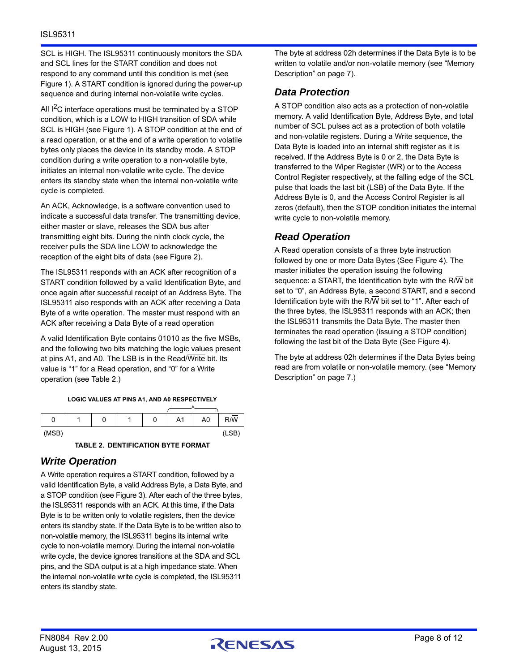SCL is HIGH. The ISL95311 continuously monitors the SDA and SCL lines for the START condition and does not respond to any command until this condition is met (see Figure [1\)](#page-8-0). A START condition is ignored during the power-up sequence and during internal non-volatile write cycles.

All  $I^2C$  interface operations must be terminated by a STOP condition, which is a LOW to HIGH transition of SDA while SCL is HIGH (see Figure [1](#page-8-0)). A STOP condition at the end of a read operation, or at the end of a write operation to volatile bytes only places the device in its standby mode. A STOP condition during a write operation to a non-volatile byte, initiates an internal non-volatile write cycle. The device enters its standby state when the internal non-volatile write cycle is completed.

An ACK, Acknowledge, is a software convention used to indicate a successful data transfer. The transmitting device, either master or slave, releases the SDA bus after transmitting eight bits. During the ninth clock cycle, the receiver pulls the SDA line LOW to acknowledge the reception of the eight bits of data (see Figure [2\)](#page-8-1).

The ISL95311 responds with an ACK after recognition of a START condition followed by a valid Identification Byte, and once again after successful receipt of an Address Byte. The ISL95311 also responds with an ACK after receiving a Data Byte of a write operation. The master must respond with an ACK after receiving a Data Byte of a read operation

A valid Identification Byte contains 01010 as the five MSBs, and the following two bits matching the logic values present at pins A1, and A0. The LSB is in the Read/Write bit. Its value is "1" for a Read operation, and "0" for a Write operation (see Table [2.](#page-7-0))

**LOGIC VALUES AT PINS A1, AND A0 RESPECTIVELY**

| 0     | U | ٠ | 0 | A <sub>1</sub> | A <sub>0</sub> | $R/\overline{W}$ |
|-------|---|---|---|----------------|----------------|------------------|
| (MSB) |   |   |   |                |                | (LSB)            |

**TABLE 2. DENTIFICATION BYTE FORMAT**

# <span id="page-7-0"></span>*Write Operation*

A Write operation requires a START condition, followed by a valid Identification Byte, a valid Address Byte, a Data Byte, and a STOP condition (see Figure [3](#page-8-2)). After each of the three bytes, the ISL95311 responds with an ACK. At this time, if the Data Byte is to be written only to volatile registers, then the device enters its standby state. If the Data Byte is to be written also to non-volatile memory, the ISL95311 begins its internal write cycle to non-volatile memory. During the internal non-volatile write cycle, the device ignores transitions at the SDA and SCL pins, and the SDA output is at a high impedance state. When the internal non-volatile write cycle is completed, the ISL95311 enters its standby state.

The byte at address 02h determines if the Data Byte is to be written to volatile and/or non-volatile memory (see "Memory Description" on page [7](#page-6-0)).

# *Data Protection*

A STOP condition also acts as a protection of non-volatile memory. A valid Identification Byte, Address Byte, and total number of SCL pulses act as a protection of both volatile and non-volatile registers. During a Write sequence, the Data Byte is loaded into an internal shift register as it is received. If the Address Byte is 0 or 2, the Data Byte is transferred to the Wiper Register (WR) or to the Access Control Register respectively, at the falling edge of the SCL pulse that loads the last bit (LSB) of the Data Byte. If the Address Byte is 0, and the Access Control Register is all zeros (default), then the STOP condition initiates the internal write cycle to non-volatile memory.

# *Read Operation*

A Read operation consists of a three byte instruction followed by one or more Data Bytes (See Figure [4](#page-8-3)). The master initiates the operation issuing the following sequence: a START, the Identification byte with the R/W bit set to "0", an Address Byte, a second START, and a second Identification byte with the R/W bit set to "1". After each of the three bytes, the ISL95311 responds with an ACK; then the ISL95311 transmits the Data Byte. The master then terminates the read operation (issuing a STOP condition) following the last bit of the Data Byte (See Figure [4](#page-8-3)).

The byte at address 02h determines if the Data Bytes being read are from volatile or non-volatile memory. (see ["Memory](#page-6-0)  [Description" on page 7](#page-6-0).)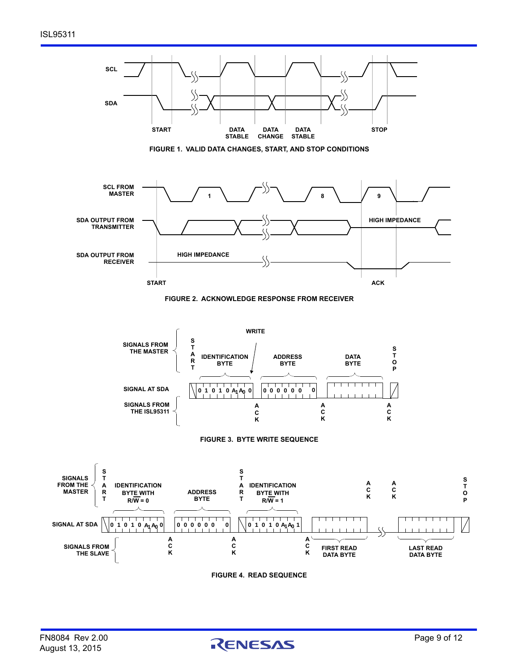<span id="page-8-1"></span><span id="page-8-0"></span>

<span id="page-8-3"></span><span id="page-8-2"></span>

**S T O P**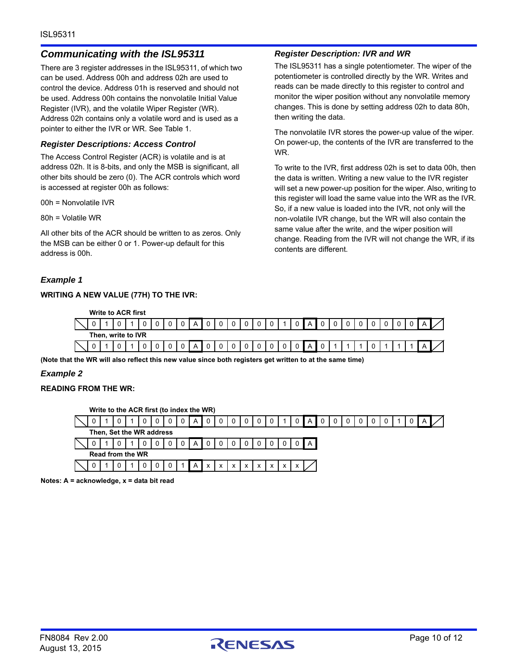### *Communicating with the ISL95311*

There are 3 register addresses in the ISL95311, of which two can be used. Address 00h and address 02h are used to control the device. Address 01h is reserved and should not be used. Address 00h contains the nonvolatile Initial Value Register (IVR), and the volatile Wiper Register (WR). Address 02h contains only a volatile word and is used as a pointer to either the IVR or WR. See Table [1](#page-6-1).

#### *Register Descriptions: Access Control*

The Access Control Register (ACR) is volatile and is at address 02h. It is 8-bits, and only the MSB is significant, all other bits should be zero (0). The ACR controls which word is accessed at register 00h as follows:

00h = Nonvolatile IVR

80h = Volatile WR

All other bits of the ACR should be written to as zeros. Only the MSB can be either 0 or 1. Power-up default for this address is 00h.

#### *Example 1*

#### **WRITING A NEW VALUE (77H) TO THE IVR:**

#### *Register Description: IVR and WR*

The ISL95311 has a single potentiometer. The wiper of the potentiometer is controlled directly by the WR. Writes and reads can be made directly to this register to control and monitor the wiper position without any nonvolatile memory changes. This is done by setting address 02h to data 80h, then writing the data.

The nonvolatile IVR stores the power-up value of the wiper. On power-up, the contents of the IVR are transferred to the WR.

To write to the IVR, first address 02h is set to data 00h, then the data is written. Writing a new value to the IVR register will set a new power-up position for the wiper. Also, writing to this register will load the same value into the WR as the IVR. So, if a new value is loaded into the IVR, not only will the non-volatile IVR change, but the WR will also contain the same value after the write, and the wiper position will change. Reading from the IVR will not change the WR, if its contents are different.

| <b>Write to ACR first</b> |                    |  |  |                 |           |              |                |             |             |                |             |       |  |              |  |  |              |  |
|---------------------------|--------------------|--|--|-----------------|-----------|--------------|----------------|-------------|-------------|----------------|-------------|-------|--|--------------|--|--|--------------|--|
|                           |                    |  |  | $0 \t0 \tA \t0$ |           | $\mathbf{0}$ | $\circ$ 1      | $\Omega$    |             |                |             | 0 A 0 |  | $\mathbf{0}$ |  |  | 0 A          |  |
|                           | Then, write to IVR |  |  |                 |           |              |                |             |             |                |             |       |  |              |  |  |              |  |
|                           |                    |  |  |                 | $0$ A $0$ | $\mathsf 0$  | $\overline{0}$ | $\mathsf 0$ | $\mathbf 0$ | $\overline{0}$ | $\mathbf 0$ | 0 A 0 |  |              |  |  | $A^{\prime}$ |  |

**(Note that the WR will also reflect this new value since both registers get written to at the same time)**

### *Example 2*

#### **READING FROM THE WR:**

| Write to the ACR first (to index the WR) |  |  |                  |  |                          |  |   |   |              |            |              |              |              |              |              |              |       |  |          |  |  |  |  |
|------------------------------------------|--|--|------------------|--|--------------------------|--|---|---|--------------|------------|--------------|--------------|--------------|--------------|--------------|--------------|-------|--|----------|--|--|--|--|
|                                          |  |  |                  |  |                          |  | 0 | A |              |            |              |              |              | 0            |              |              | A     |  | $\Omega$ |  |  |  |  |
|                                          |  |  |                  |  | Then, Set the WR address |  |   |   |              |            |              |              |              |              |              |              |       |  |          |  |  |  |  |
|                                          |  |  |                  |  |                          |  | 0 | A | 0            |            |              |              |              | 0            |              |              | I A I |  |          |  |  |  |  |
|                                          |  |  | Read from the WR |  |                          |  |   |   |              |            |              |              |              |              |              |              |       |  |          |  |  |  |  |
|                                          |  |  |                  |  |                          |  |   | A | $\mathbf{x}$ | $\times$ 1 | $\mathsf{x}$ | $\mathsf{x}$ | $\mathsf{x}$ | $\mathsf{x}$ | $\mathsf{X}$ | $\mathsf{x}$ |       |  |          |  |  |  |  |

**Notes: A = acknowledge, x = data bit read**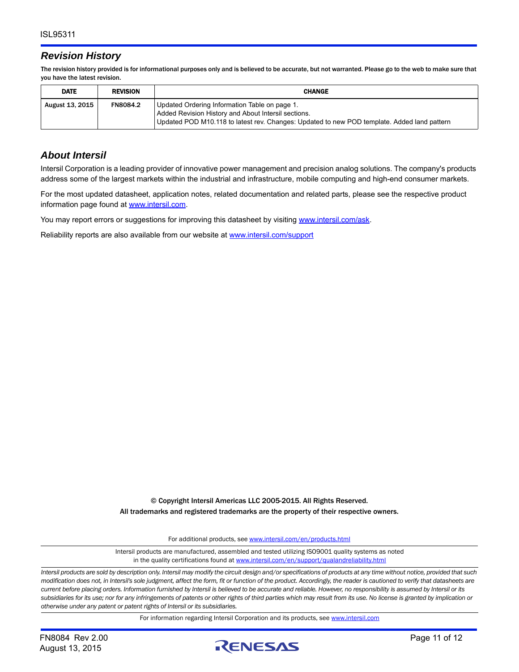### *Revision History*

The revision history provided is for informational purposes only and is believed to be accurate, but not warranted. Please go to the web to make sure that you have the latest revision.

| <b>DATE</b>     | <b>REVISION</b> | <b>CHANGE</b>                                                                                                                                                                                       |
|-----------------|-----------------|-----------------------------------------------------------------------------------------------------------------------------------------------------------------------------------------------------|
| August 13, 2015 | <b>FN8084.2</b> | Updated Ordering Information Table on page 1.<br>Added Revision History and About Intersil sections.<br>Updated POD M10.118 to latest rev. Changes: Updated to new POD template. Added land pattern |

### *About Intersil*

Intersil Corporation is a leading provider of innovative power management and precision analog solutions. The company's products address some of the largest markets within the industrial and infrastructure, mobile computing and high-end consumer markets.

For the most updated datasheet, application notes, related documentation and related parts, please see the respective product information page found at<www.intersil.com>.

You may report errors or suggestions for improving this datasheet by visiting [www.intersil.com/ask](http://www.intersil.com/en/support.html?OrganizationID=784358&p=createnewticket&p_href=http%3A%2F%2Fwww.intersil.com%2Fen%2Fsupport.html).

Reliability reports are also available from our website at [www.intersil.com/support](http://www.intersil.com/en/support/qualandreliability.html#reliability)

© Copyright Intersil Americas LLC 2005-2015. All Rights Reserved. All trademarks and registered trademarks are the property of their respective owners.

For additional products, see [www.intersil.com/en/products.html](http://www.intersil.com/en/products.html?utm_source=Intersil&utm_medium=datasheet&utm_campaign=disclaimer-ds-footer)

[Intersil products are manufactured, assembled and tested utilizing ISO9001 quality systems as noted](http://www.intersil.com/en/products.html?utm_source=Intersil&utm_medium=datasheet&utm_campaign=disclaimer-ds-footer) in the quality certifications found at [www.intersil.com/en/support/qualandreliability.html](http://www.intersil.com/en/support/qualandreliability.html?utm_source=Intersil&utm_medium=datasheet&utm_campaign=disclaimer-ds-footer)

*Intersil products are sold by description only. Intersil may modify the circuit design and/or specifications of products at any time without notice, provided that such modification does not, in Intersil's sole judgment, affect the form, fit or function of the product. Accordingly, the reader is cautioned to verify that datasheets are current before placing orders. Information furnished by Intersil is believed to be accurate and reliable. However, no responsibility is assumed by Intersil or its subsidiaries for its use; nor for any infringements of patents or other rights of third parties which may result from its use. No license is granted by implication or otherwise under any patent or patent rights of Intersil or its subsidiaries.*

For information regarding Intersil Corporation and its products, see [www.intersil.com](http://www.intersil.com?utm_source=intersil&utm_medium=datasheet&utm_campaign=disclaimer-ds-footer)

August 13, 2015